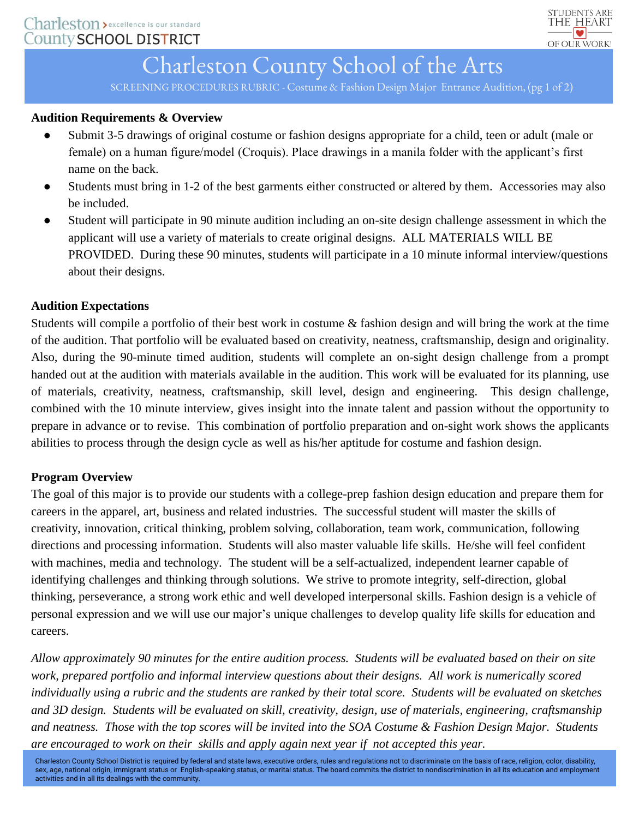

### Charleston County School of the Arts

SCREENING PROCEDURES RUBRIC - Costume & Fashion Design Major Entrance Audition, (pg 1 of 2)

#### **Audition Requirements & Overview**

- Submit 3-5 drawings of original costume or fashion designs appropriate for a child, teen or adult (male or female) on a human figure/model (Croquis). Place drawings in a manila folder with the applicant's first name on the back.
- Students must bring in 1-2 of the best garments either constructed or altered by them. Accessories may also be included.
- Student will participate in 90 minute audition including an on-site design challenge assessment in which the applicant will use a variety of materials to create original designs. ALL MATERIALS WILL BE PROVIDED. During these 90 minutes, students will participate in a 10 minute informal interview/questions about their designs.

#### **Audition Expectations**

Students will compile a portfolio of their best work in costume & fashion design and will bring the work at the time of the audition. That portfolio will be evaluated based on creativity, neatness, craftsmanship, design and originality. Also, during the 90-minute timed audition, students will complete an on-sight design challenge from a prompt handed out at the audition with materials available in the audition. This work will be evaluated for its planning, use of materials, creativity, neatness, craftsmanship, skill level, design and engineering. This design challenge, combined with the 10 minute interview, gives insight into the innate talent and passion without the opportunity to prepare in advance or to revise. This combination of portfolio preparation and on-sight work shows the applicants abilities to process through the design cycle as well as his/her aptitude for costume and fashion design.

#### **Program Overview**

The goal of this major is to provide our students with a college-prep fashion design education and prepare them for careers in the apparel, art, business and related industries. The successful student will master the skills of creativity, innovation, critical thinking, problem solving, collaboration, team work, communication, following directions and processing information. Students will also master valuable life skills. He/she will feel confident with machines, media and technology. The student will be a self-actualized, independent learner capable of identifying challenges and thinking through solutions. We strive to promote integrity, self-direction, global thinking, perseverance, a strong work ethic and well developed interpersonal skills. Fashion design is a vehicle of personal expression and we will use our major's unique challenges to develop quality life skills for education and careers.

*Allow approximately 90 minutes for the entire audition process. Students will be evaluated based on their on site work, prepared portfolio and informal interview questions about their designs. All work is numerically scored individually using a rubric and the students are ranked by their total score. Students will be evaluated on sketches and 3D design. Students will be evaluated on skill, creativity, design, use of materials, engineering, craftsmanship and neatness. Those with the top scores will be invited into the SOA Costume & Fashion Design Major. Students are encouraged to work on their skills and apply again next year if not accepted this year.*

Charleston County School District is required by federal and state laws, executive orders, rules and regulations not to discriminate on the basis of race, religion, color, disability, sex, age, national origin, immigrant status or English-speaking status, or marital status. The board commits the district to nondiscrimination in all its education and employment activities and in all its dealings with the community.